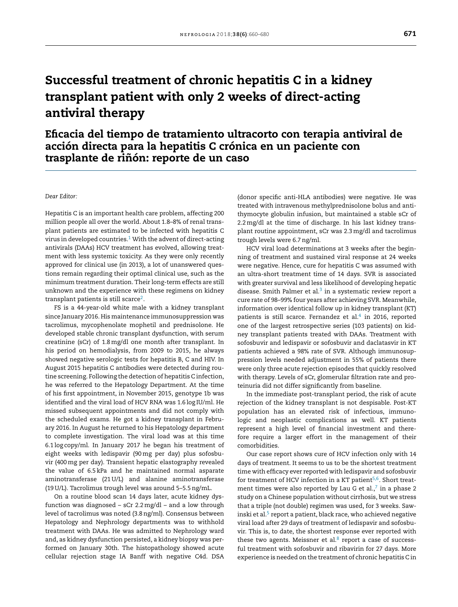# Successful treatment of chronic hepatitis C in a kidney transplant patient with only 2 weeks of direct-acting antiviral therapy

Eficacia del tiempo de tratamiento ultracorto con terapia antiviral de acción directa para la hepatitis C crónica en un paciente con trasplante de riñón: reporte de un caso

#### *Dear Editor:*

Hepatitis C is an important health care problem, affecting 200 million people all over the world. About 1.8–8% of renal transplant patients are estimated to be infected with hepatitis C virus in developed countries. $1$  [W](#page-1-0)ith the advent of direct-acting antivirals (DAAs) HCV treatment has evolved, allowing treatment with less systemic toxicity. As they were only recently approved for clinical use (in 2013), a lot of unanswered questions remain regarding their optimal clinical use, such as the minimum treatment duration. Their long-term effects are still unknown and the experience with these regimens on kidney transplant patients is still scarce $^2$  $^2$ .

FS is a 44-year-old white male with a kidney transplant since January 2016. His maintenance immunosuppression was tacrolimus, mycophenolate mophetil and prednisolone. He developed stable chronic transplant dysfunction, with serum creatinine (sCr) of 1.8 mg/dl one month after transplant. In his period on hemodialysis, from 2009 to 2015, he always showed negative serologic tests for hepatitis B, C and HIV. In August 2015 hepatitis C antibodies were detected during routine screening. Following the detection of hepatitis C infection, he was referred to the Hepatology Department. At the time of his first appointment, in November 2015, genotype 1b was identified and the viral load of HCV RNA was 1.6 log IU/ml. He missed subsequent appointments and did not comply with the scheduled exams. He got a kidney transplant in February 2016. In August he returned to his Hepatology department to complete investigation. The viral load was at this time 6.1 log copy/ml. In January 2017 he began his treatment of eight weeks with ledispavir (90mg per day) plus sofosbuvir (400mg per day). Transient hepatic elastography revealed the value of 6.5 kPa and he maintained normal asparate aminotransferase (21 U/L) and alanine aminotransferase (19 U/L). Tacrolimus trough level was around 5–5.5ng/mL.

On a routine blood scan 14 days later, acute kidney dysfunction was diagnosed – sCr 2.2mg/dl – and a low through level of tacrolimus was noted (3.8ng/ml). Consensus between Hepatology and Nephrology departments was to withhold treatment with DAAs. He was admitted to Nephrology ward and, as kidney dysfunction persisted, a kidney biopsy was performed on January 30th. The histopathology showed acute cellular rejection stage IA Banff with negative C4d. DSA

(donor specific anti-HLA antibodies) were negative. He was treated with intravenous methylprednisolone bolus and antithymocyte globulin infusion, but maintained a stable sCr of 2.2mg/dl at the time of discharge. In his last kidney transplant routine appointment, sCr was 2.3 mg/dl and tacrolimus trough levels were 6.7ng/ml.

HCV viral load determinations at 3 weeks after the beginning of treatment and sustained viral response at 24 weeks were negative. Hence, cure for hepatitis C was assumed with an ultra-short treatment time of 14 days. SVR is associated with greater survival and less likelihood of developing hepatic disease. Smith Palmer et al. $3$  in a systematic review report a cure rate of 98–99% four years after achieving SVR. Meanwhile, information over identical follow up in kidney transplant (KT) patients is still scarce. Fernandez et al. $4$  in 2016, reported one of the largest retrospective series (103 patients) on kidney transplant patients treated with DAAs. Treatment with sofosbuvir and ledispavir or sofosbuvir and daclatasvir in KT patients achieved a 98% rate of SVR. Although immunosuppression levels needed adjustment in 55% of patients there were only three acute rejection episodes that quickly resolved with therapy. Levels of sCr, glomerular filtration rate and proteinuria did not differ significantly from baseline.

In the immediate post-transplant period, the risk of acute rejection of the kidney transplant is not despisable. Post-KT population has an elevated risk of infectious, immunologic and neoplastic complications as well. KT patients represent a high level of financial investment and therefore require a larger effort in the management of their comorbidities.

Our case report shows cure of HCV infection only with 14 days of treatment. It seems to us to be the shortest treatment time with efficacy ever reported with ledispavir and sofosbuvir for treatment of HCV infection in a KT patient<sup>[5,6](#page-1-0)</sup>. Short treatment times were also reported by Lau G et al., $<sup>7</sup>$  $<sup>7</sup>$  $<sup>7</sup>$  in a phase 2</sup> study on a Chinese population without cirrhosis, but we stress that a triple (not double) regimen was used, for 3 weeks. Sawinski et al.<sup>5</sup> [r](#page-1-0)eport a patient, black race, who achieved negative viral load after 29 days of treatment of ledispavir and sofosbuvir. This is, to date, the shortest response ever reported with these two agents. Meissner et al. $8$  report a case of successful treatment with sofosbuvir and ribavirin for 27 days. More experience is needed on the treatment of chronic hepatitis C in